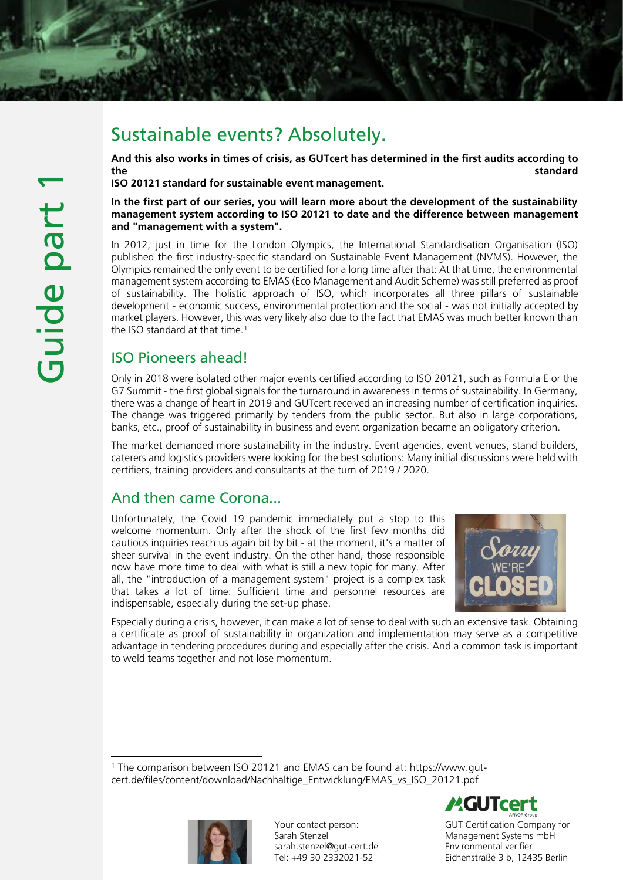# Sustainable events? Absolutely.

And this also works in times of crisis, as GUTcert has determined in the first audits according to the standard standard standard standard standard standard standard standard standard standard standard standard

ISO 20121 standard for sustainable event management.

In the first part of our series, you will learn more about the development of the sustainability management system according to ISO 20121 to date and the difference between management and "management with a system".

In 2012, just in time for the London Olympics, the International Standardisation Organisation (ISO) published the first industry-specific standard on Sustainable Event Management (NVMS). However, the Olympics remained the only event to be certified for a long time after that: At that time, the environmental management system according to EMAS (Eco Management and Audit Scheme) was still preferred as proof of sustainability. The holistic approach of ISO, which incorporates all three pillars of sustainable development - economic success, environmental protection and the social - was not initially accepted by market players. However, this was very likely also due to the fact that EMAS was much better known than the ISO standard at that time.<sup>1</sup>

## ISO Pioneers ahead!

Only in 2018 were isolated other major events certified according to ISO 20121, such as Formula E or the G7 Summit - the first global signals for the turnaround in awareness in terms of sustainability. In Germany, there was a change of heart in 2019 and GUTcert received an increasing number of certification inquiries. The change was triggered primarily by tenders from the public sector. But also in large corporations, banks, etc., proof of sustainability in business and event organization became an obligatory criterion.

The market demanded more sustainability in the industry. Event agencies, event venues, stand builders, caterers and logistics providers were looking for the best solutions: Many initial discussions were held with certifiers, training providers and consultants at the turn of 2019 / 2020.

## And then came Corona...

Unfortunately, the Covid 19 pandemic immediately put a stop to this welcome momentum. Only after the shock of the first few months did cautious inquiries reach us again bit by bit - at the moment, it's a matter of sheer survival in the event industry. On the other hand, those responsible now have more time to deal with what is still a new topic for many. After all, the "introduction of a management system" project is a complex task that takes a lot of time: Sufficient time and personnel resources are indispensable, especially during the set-up phase.



Especially during a crisis, however, it can make a lot of sense to deal with such an extensive task. Obtaining a certificate as proof of sustainability in organization and implementation may serve as a competitive advantage in tendering procedures during and especially after the crisis. And a common task is important to weld teams together and not lose momentum.

<sup>1</sup> The comparison between ISO 20121 and EMAS can be found at: https://www.gutcert.de/files/content/download/Nachhaltige\_Entwicklung/EMAS\_vs\_ISO\_20121.pdf



Your contact person: Sarah Stenzel sarah.stenzel@gut-cert.de Tel: +49 30 2332021-52



GUT Certification Company for Management Systems mbH Environmental verifier Eichenstraße 3 b, 12435 Berlin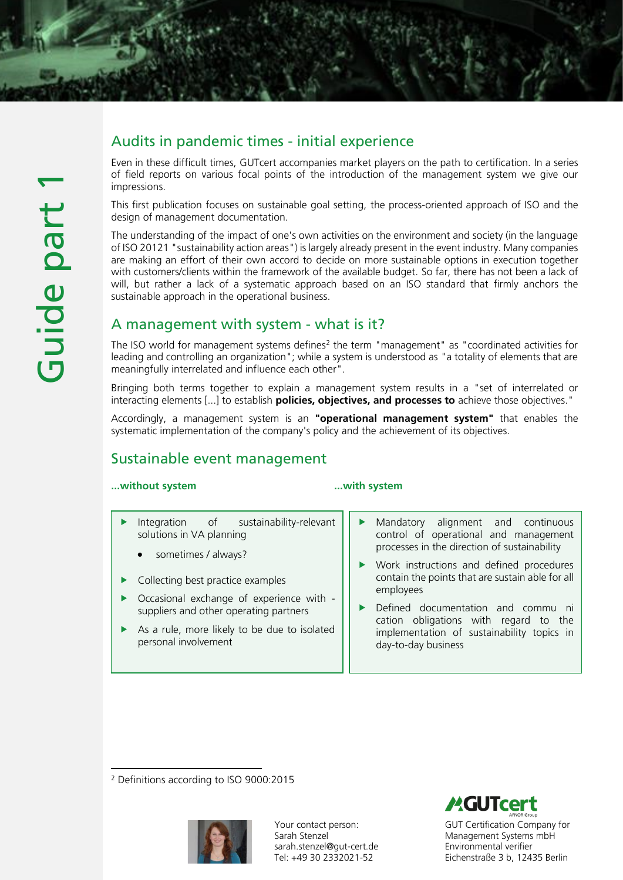## Audits in pandemic times - initial experience

Even in these difficult times, GUTcert accompanies market players on the path to certification. In a series of field reports on various focal points of the introduction of the management system we give our impressions.

This first publication focuses on sustainable goal setting, the process-oriented approach of ISO and the design of management documentation.

The understanding of the impact of one's own activities on the environment and society (in the language of ISO 20121 "sustainability action areas") is largely already present in the event industry. Many companies are making an effort of their own accord to decide on more sustainable options in execution together with customers/clients within the framework of the available budget. So far, there has not been a lack of will, but rather a lack of a systematic approach based on an ISO standard that firmly anchors the sustainable approach in the operational business.

## A management with system - what is it?

The ISO world for management systems defines<sup>2</sup> the term "management" as "coordinated activities for leading and controlling an organization"; while a system is understood as "a totality of elements that are meaningfully interrelated and influence each other".

Bringing both terms together to explain a management system results in a "set of interrelated or interacting elements [...] to establish **policies, objectives, and processes to** achieve those objectives."

Accordingly, a management system is an "operational management system" that enables the systematic implementation of the company's policy and the achievement of its objectives.

## Sustainable event management

#### ...without system ...with system

- Integration of sustainability-relevant solutions in VA planning
	- sometimes / always?
- $\blacktriangleright$  Collecting best practice examples
- Occasional exchange of experience with suppliers and other operating partners
- As a rule, more likely to be due to isolated personal involvement
- Mandatory alignment and continuous control of operational and management processes in the direction of sustainability
- Work instructions and defined procedures contain the points that are sustain able for all employees
- Defined documentation and commu ni cation obligations with regard to the implementation of sustainability topics in day-to-day business

<sup>2</sup> Definitions according to ISO 9000:2015



Your contact person: Sarah Stenzel sarah.stenzel@gut-cert.de Tel: +49 30 2332021-52



GUT Certification Company for Management Systems mbH Environmental verifier Eichenstraße 3 b, 12435 Berlin